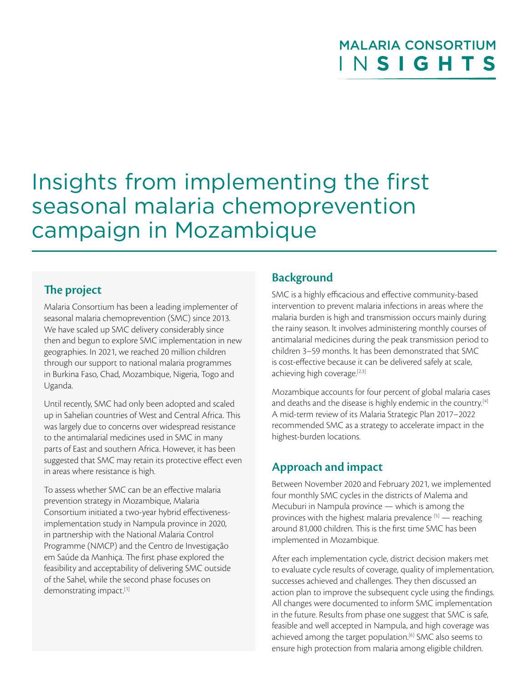## I N **SIGHTS** MALARIA CONSORTIUM

# Insights from implementing the first seasonal malaria chemoprevention campaign in Mozambique

## **The project**

Malaria Consortium has been a leading implementer of seasonal malaria chemoprevention (SMC) since 2013. We have scaled up SMC delivery considerably since then and begun to explore SMC implementation in new geographies. In 2021, we reached 20 million children through our support to national malaria programmes in Burkina Faso, Chad, Mozambique, Nigeria, Togo and Uganda.

Until recently, SMC had only been adopted and scaled up in Sahelian countries of West and Central Africa. This was largely due to concerns over widespread resistance to the antimalarial medicines used in SMC in many parts of East and southern Africa. However, it has been suggested that SMC may retain its protective effect even in areas where resistance is high.

To assess whether SMC can be an effective malaria prevention strategy in Mozambique, Malaria Consortium initiated a two-year hybrid effectivenessimplementation study in Nampula province in 2020, in partnership with the National Malaria Control Programme (NMCP) and the Centro de Investigação em Saúde da Manhiça. The first phase explored the feasibility and acceptability of delivering SMC outside of the Sahel, while the second phase focuses on demonstrating impact.[1]

## **Background**

SMC is a highly efficacious and effective community-based intervention to prevent malaria infections in areas where the malaria burden is high and transmission occurs mainly during the rainy season. It involves administering monthly courses of antimalarial medicines during the peak transmission period to children 3–59 months. It has been demonstrated that SMC is cost-effective because it can be delivered safely at scale, achieving high coverage.[2,3]

Mozambique accounts for four percent of global malaria cases and deaths and the disease is highly endemic in the country.<sup>[4]</sup> A mid-term review of its Malaria Strategic Plan 2017–2022 recommended SMC as a strategy to accelerate impact in the highest-burden locations.

## **Approach and impact**

Between November 2020 and February 2021, we implemented four monthly SMC cycles in the districts of Malema and Mecuburi in Nampula province — which is among the provinces with the highest malaria prevalence  $[5]$  — reaching around 81,000 children. This is the first time SMC has been implemented in Mozambique.

After each implementation cycle, district decision makers met to evaluate cycle results of coverage, quality of implementation, successes achieved and challenges. They then discussed an action plan to improve the subsequent cycle using the findings. All changes were documented to inform SMC implementation in the future. Results from phase one suggest that SMC is safe, feasible and well accepted in Nampula, and high coverage was achieved among the target population.<sup>[6]</sup> SMC also seems to ensure high protection from malaria among eligible children.